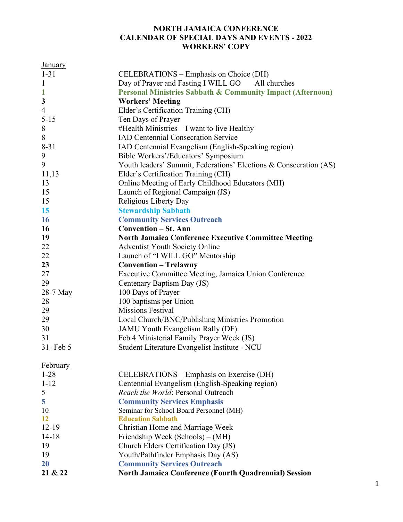## NORTH JAMAICA CONFERENCE CALENDAR OF SPECIAL DAYS AND EVENTS - 2022 WORKERS' COPY

| <b>January</b>  |                                                                   |
|-----------------|-------------------------------------------------------------------|
| $1 - 31$        | CELEBRATIONS – Emphasis on Choice (DH)                            |
| $\mathbf{1}$    | Day of Prayer and Fasting I WILL GO All churches                  |
| $\mathbf{1}$    | Personal Ministries Sabbath & Community Impact (Afternoon)        |
| $\mathbf{3}$    | <b>Workers' Meeting</b>                                           |
| $\overline{4}$  | Elder's Certification Training (CH)                               |
| $5 - 15$        | Ten Days of Prayer                                                |
| 8               | #Health Ministries – I want to live Healthy                       |
| 8               | <b>IAD Centennial Consecration Service</b>                        |
| $8 - 31$        | IAD Centennial Evangelism (English-Speaking region)               |
| 9               | Bible Workers'/Educators' Symposium                               |
| 9               | Youth leaders' Summit, Federations' Elections & Consecration (AS) |
| 11,13           | Elder's Certification Training (CH)                               |
| 13              | Online Meeting of Early Childhood Educators (MH)                  |
| 15              | Launch of Regional Campaign (JS)                                  |
| 15              | Religious Liberty Day                                             |
| 15              | <b>Stewardship Sabbath</b>                                        |
| 16              | <b>Community Services Outreach</b>                                |
| 16              | <b>Convention – St. Ann</b>                                       |
| 19              | <b>North Jamaica Conference Executive Committee Meeting</b>       |
| 22              | <b>Adventist Youth Society Online</b>                             |
| 22              | Launch of "I WILL GO" Mentorship                                  |
| 23              | <b>Convention - Trelawny</b>                                      |
| 27              | Executive Committee Meeting, Jamaica Union Conference             |
| 29              | Centenary Baptism Day (JS)                                        |
| 28-7 May        | 100 Days of Prayer                                                |
| 28              | 100 baptisms per Union                                            |
| 29              | <b>Missions Festival</b>                                          |
| 29              | Local Church/BNC/Publishing Ministries Promotion                  |
| 30              | JAMU Youth Evangelism Rally (DF)                                  |
| 31              | Feb 4 Ministerial Family Prayer Week (JS)                         |
| 31- Feb 5       | Student Literature Evangelist Institute - NCU                     |
| <b>February</b> |                                                                   |
| $1 - 28$        | CELEBRATIONS – Emphasis on Exercise (DH)                          |
| $1 - 12$        | Centennial Evangelism (English-Speaking region)                   |
| 5               | Reach the World: Personal Outreach                                |
| 5               | <b>Community Services Emphasis</b>                                |
| 10              | Seminar for School Board Personnel (MH)                           |
| 12<br>$12-19$   | <b>Education Sabbath</b>                                          |
|                 | Christian Home and Marriage Week                                  |
| $14 - 18$       | Friendship Week (Schools) – (MH)                                  |
| 19              | Church Elders Certification Day (JS)                              |
| 19<br>20        | Youth/Pathfinder Emphasis Day (AS)                                |
|                 | <b>Community Services Outreach</b>                                |
| 21 & 22         | <b>North Jamaica Conference (Fourth Quadrennial) Session</b>      |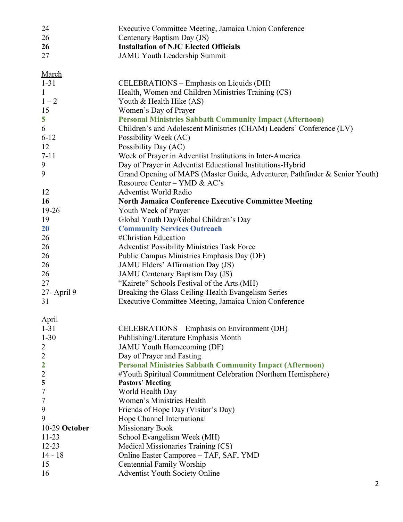| 24                  | Executive Committee Meeting, Jamaica Union Conference                                    |
|---------------------|------------------------------------------------------------------------------------------|
| 26                  | Centenary Baptism Day (JS)                                                               |
| 26                  | <b>Installation of NJC Elected Officials</b>                                             |
| 27                  | <b>JAMU Youth Leadership Summit</b>                                                      |
| March               |                                                                                          |
| $1 - 31$            | CELEBRATIONS – Emphasis on Liquids (DH)                                                  |
| $\mathbf{1}$        | Health, Women and Children Ministries Training (CS)                                      |
| $1 - 2$             | Youth & Health Hike (AS)                                                                 |
| 15                  | Women's Day of Prayer                                                                    |
| 5                   | <b>Personal Ministries Sabbath Community Impact (Afternoon)</b>                          |
| 6                   | Children's and Adolescent Ministries (CHAM) Leaders' Conference (LV)                     |
| $6 - 12$            | Possibility Week (AC)                                                                    |
| 12                  | Possibility Day (AC)                                                                     |
| $7 - 11$            | Week of Prayer in Adventist Institutions in Inter-America                                |
| 9                   | Day of Prayer in Adventist Educational Institutions-Hybrid                               |
| 9                   | Grand Opening of MAPS (Master Guide, Adventurer, Pathfinder & Senior Youth)              |
|                     | Resource Center - YMD & AC's                                                             |
| 12                  | <b>Adventist World Radio</b>                                                             |
| <b>16</b>           | <b>North Jamaica Conference Executive Committee Meeting</b>                              |
| $19 - 26$           | Youth Week of Prayer                                                                     |
| 19                  | Global Youth Day/Global Children's Day                                                   |
| <b>20</b>           | <b>Community Services Outreach</b>                                                       |
| 26                  | #Christian Education                                                                     |
| 26                  | Adventist Possibility Ministries Task Force                                              |
| 26                  | Public Campus Ministries Emphasis Day (DF)                                               |
| 26<br>26            | JAMU Elders' Affirmation Day (JS)<br>JAMU Centenary Baptism Day (JS)                     |
| 27                  | "Kairete" Schools Festival of the Arts (MH)                                              |
| 27- April 9         | Breaking the Glass Ceiling-Health Evangelism Series                                      |
| 31                  | Executive Committee Meeting, Jamaica Union Conference                                    |
|                     |                                                                                          |
| April               |                                                                                          |
| $1 - 31$            | <b>CELEBRATIONS</b> – Emphasis on Environment (DH)                                       |
| $1 - 30$            | Publishing/Literature Emphasis Month                                                     |
| 2                   | JAMU Youth Homecoming (DF)                                                               |
| $\overline{2}$      | Day of Prayer and Fasting                                                                |
| $\mathbf{2}$        | <b>Personal Ministries Sabbath Community Impact (Afternoon)</b>                          |
| $\overline{c}$<br>5 | #Youth Spiritual Commitment Celebration (Northern Hemisphere)<br><b>Pastors' Meeting</b> |
| 7                   | World Health Day                                                                         |
| 7                   | Women's Ministries Health                                                                |
| 9                   | Friends of Hope Day (Visitor's Day)                                                      |
| 9                   | Hope Channel International                                                               |
| 10-29 October       | <b>Missionary Book</b>                                                                   |
| $11 - 23$           | School Evangelism Week (MH)                                                              |
| $12 - 23$           | Medical Missionaries Training (CS)                                                       |
| $14 - 18$           | Online Easter Camporee - TAF, SAF, YMD                                                   |
| 15                  | Centennial Family Worship                                                                |
| 16                  | <b>Adventist Youth Society Online</b>                                                    |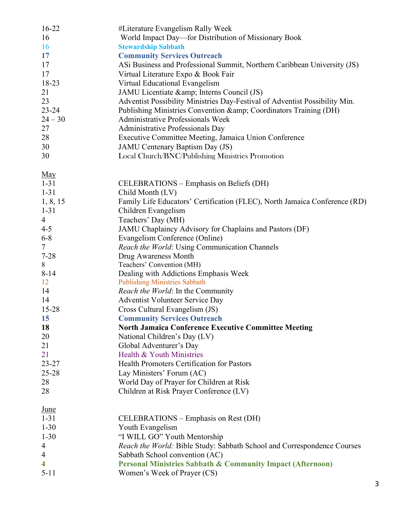| $16 - 22$      | #Literature Evangelism Rally Week                                           |
|----------------|-----------------------------------------------------------------------------|
| 16             | World Impact Day—for Distribution of Missionary Book                        |
| <b>16</b>      | <b>Stewardship Sabbath</b>                                                  |
| 17             | <b>Community Services Outreach</b>                                          |
| 17             | ASi Business and Professional Summit, Northern Caribbean University (JS)    |
| 17             | Virtual Literature Expo & Book Fair                                         |
| 18-23          | Virtual Educational Evangelism                                              |
| 21             | JAMU Licentiate & amp; Interns Council (JS)                                 |
| 23             | Adventist Possibility Ministries Day-Festival of Adventist Possibility Min. |
| $23 - 24$      | Publishing Ministries Convention & amp; Coordinators Training (DH)          |
| $24 - 30$      | <b>Administrative Professionals Week</b>                                    |
| 27             | Administrative Professionals Day                                            |
| 28             | Executive Committee Meeting, Jamaica Union Conference                       |
| 30             | JAMU Centenary Baptism Day (JS)                                             |
| 30             | Local Church/BNC/Publishing Ministries Promotion                            |
|                |                                                                             |
| May            |                                                                             |
| $1 - 31$       | CELEBRATIONS – Emphasis on Beliefs (DH)                                     |
| $1 - 31$       | Child Month (LV)                                                            |
| 1, 8, 15       | Family Life Educators' Certification (FLEC), North Jamaica Conference (RD)  |
| $1 - 31$       | Children Evangelism                                                         |
| $\overline{4}$ | Teachers' Day (MH)                                                          |
| $4 - 5$        | JAMU Chaplaincy Advisory for Chaplains and Pastors (DF)                     |
| $6 - 8$        | Evangelism Conference (Online)                                              |
| $\tau$         | Reach the World: Using Communication Channels                               |
| $7 - 28$       | Drug Awareness Month                                                        |
| 8              | Teachers' Convention (MH)                                                   |
| $8 - 14$       | Dealing with Addictions Emphasis Week                                       |
| 12             | <b>Publishing Ministries Sabbath</b>                                        |
| 14             | <i>Reach the World:</i> In the Community                                    |
| 14             | <b>Adventist Volunteer Service Day</b>                                      |
| $15 - 28$      | Cross Cultural Evangelism (JS)                                              |
| <b>15</b>      | <b>Community Services Outreach</b>                                          |
| 18             | <b>North Jamaica Conference Executive Committee Meeting</b>                 |
| 20             | National Children's Day (LV)                                                |
| 21             | Global Adventurer's Day                                                     |
|                | Health & Youth Ministries                                                   |
| 21             |                                                                             |
| $23 - 27$      | <b>Health Promoters Certification for Pastors</b>                           |
| 25-28          | Lay Ministers' Forum (AC)                                                   |
| 28             | World Day of Prayer for Children at Risk                                    |
| 28             | Children at Risk Prayer Conference (LV)                                     |
| <u>June</u>    |                                                                             |
| $1 - 31$       | CELEBRATIONS – Emphasis on Rest (DH)                                        |
| $1 - 30$       | Youth Evangelism                                                            |
| $1 - 30$       | "I WILL GO" Youth Mentorship                                                |
| 4              | Reach the World: Bible Study: Sabbath School and Correspondence Courses     |
| $\overline{4}$ | Sabbath School convention (AC)                                              |
| 4              | <b>Personal Ministries Sabbath &amp; Community Impact (Afternoon)</b>       |
| $5 - 11$       | Women's Week of Prayer (CS)                                                 |
|                |                                                                             |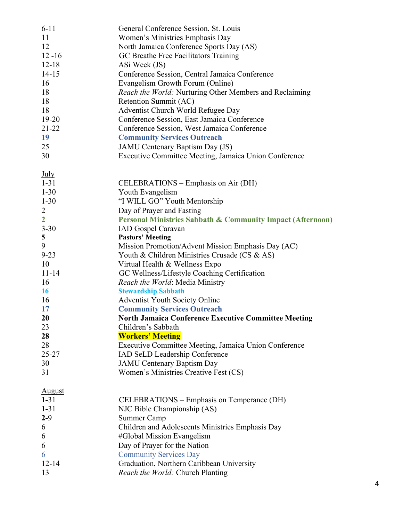| $6 - 11$                  | General Conference Session, St. Louis                                                   |
|---------------------------|-----------------------------------------------------------------------------------------|
| 11                        | Women's Ministries Emphasis Day                                                         |
| 12                        | North Jamaica Conference Sports Day (AS)                                                |
| $12 - 16$                 | GC Breathe Free Facilitators Training                                                   |
| $12 - 18$                 | ASi Week (JS)                                                                           |
| $14 - 15$                 | Conference Session, Central Jamaica Conference                                          |
| 16                        | Evangelism Growth Forum (Online)                                                        |
| 18                        | Reach the World: Nurturing Other Members and Reclaiming                                 |
| 18                        | Retention Summit (AC)                                                                   |
| 18                        | Adventist Church World Refugee Day                                                      |
| $19 - 20$                 | Conference Session, East Jamaica Conference                                             |
| $21 - 22$                 | Conference Session, West Jamaica Conference                                             |
| 19                        | <b>Community Services Outreach</b>                                                      |
| 25                        | JAMU Centenary Baptism Day (JS)                                                         |
| 30                        | Executive Committee Meeting, Jamaica Union Conference                                   |
|                           |                                                                                         |
| <b>July</b>               |                                                                                         |
| $1 - 31$                  | CELEBRATIONS – Emphasis on Air (DH)                                                     |
| $1 - 30$                  | Youth Evangelism                                                                        |
| $1 - 30$                  | "I WILL GO" Youth Mentorship                                                            |
| $\overline{2}$            | Day of Prayer and Fasting                                                               |
| $\overline{2}$            | <b>Personal Ministries Sabbath &amp; Community Impact (Afternoon)</b>                   |
| $3 - 30$                  | <b>IAD</b> Gospel Caravan                                                               |
| 5                         | <b>Pastors' Meeting</b>                                                                 |
| 9                         | Mission Promotion/Advent Mission Emphasis Day (AC)                                      |
| $9 - 23$                  | Youth & Children Ministries Crusade (CS & AS)                                           |
| 10                        | Virtual Health & Wellness Expo                                                          |
| $11 - 14$                 | GC Wellness/Lifestyle Coaching Certification                                            |
| 16                        | Reach the World: Media Ministry                                                         |
| 16                        | <b>Stewardship Sabbath</b>                                                              |
| 16                        | <b>Adventist Youth Society Online</b>                                                   |
| 17                        | <b>Community Services Outreach</b>                                                      |
| 20                        | <b>North Jamaica Conference Executive Committee Meeting</b>                             |
| 23                        | Children's Sabbath                                                                      |
| 28                        | <b>Workers' Meeting</b>                                                                 |
| 28                        |                                                                                         |
| $25 - 27$                 | Executive Committee Meeting, Jamaica Union Conference<br>IAD SeLD Leadership Conference |
|                           |                                                                                         |
| 30                        | <b>JAMU Centenary Baptism Day</b>                                                       |
| 31                        | Women's Ministries Creative Fest (CS)                                                   |
|                           |                                                                                         |
| <b>August</b><br>$1 - 31$ | CELEBRATIONS – Emphasis on Temperance (DH)                                              |
| $1 - 31$                  | NJC Bible Championship (AS)                                                             |
| $2 - 9$                   |                                                                                         |
|                           | Summer Camp                                                                             |
| 6                         | Children and Adolescents Ministries Emphasis Day                                        |
| 6                         | #Global Mission Evangelism                                                              |
| 6                         | Day of Prayer for the Nation                                                            |
| 6                         | <b>Community Services Day</b>                                                           |
| $12 - 14$                 | Graduation, Northern Caribbean University                                               |
| 13                        | Reach the World: Church Planting                                                        |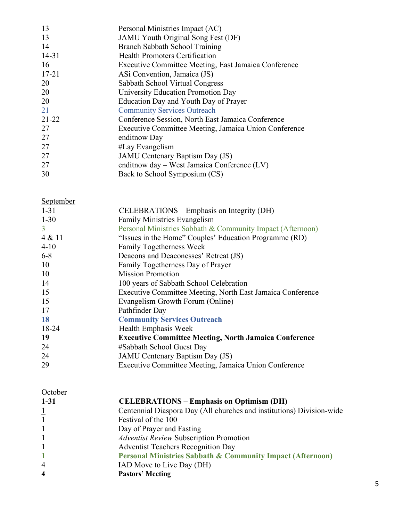| 13        | Personal Ministries Impact (AC)                       |
|-----------|-------------------------------------------------------|
| 13        | JAMU Youth Original Song Fest (DF)                    |
| 14        | Branch Sabbath School Training                        |
| $14 - 31$ | <b>Health Promoters Certification</b>                 |
| 16        | Executive Committee Meeting, East Jamaica Conference  |
| $17 - 21$ | ASi Convention, Jamaica (JS)                          |
| 20        | Sabbath School Virtual Congress                       |
| 20        | University Education Promotion Day                    |
| 20        | Education Day and Youth Day of Prayer                 |
| 21        | <b>Community Services Outreach</b>                    |
| $21 - 22$ | Conference Session, North East Jamaica Conference     |
| 27        | Executive Committee Meeting, Jamaica Union Conference |
| 27        | enditnow Day                                          |
| 27        | #Lay Evangelism                                       |
| 27        | JAMU Centenary Baptism Day (JS)                       |
| 27        | enditnow day - West Jamaica Conference (LV)           |
| 30        | Back to School Symposium (CS)                         |

## September

| CELEBRATIONS – Emphasis on Integrity (DH)                    |
|--------------------------------------------------------------|
| <b>Family Ministries Evangelism</b>                          |
| Personal Ministries Sabbath & Community Impact (Afternoon)   |
| "Issues in the Home" Couples' Education Programme (RD)       |
| <b>Family Togetherness Week</b>                              |
| Deacons and Deaconesses' Retreat (JS)                        |
| Family Togetherness Day of Prayer                            |
| <b>Mission Promotion</b>                                     |
| 100 years of Sabbath School Celebration                      |
| Executive Committee Meeting, North East Jamaica Conference   |
| Evangelism Growth Forum (Online)                             |
| Pathfinder Day                                               |
| <b>Community Services Outreach</b>                           |
| Health Emphasis Week                                         |
| <b>Executive Committee Meeting, North Jamaica Conference</b> |
| #Sabbath School Guest Day                                    |
| <b>JAMU</b> Centenary Baptism Day (JS)                       |
| Executive Committee Meeting, Jamaica Union Conference        |
|                                                              |

| October                 |                                                                       |
|-------------------------|-----------------------------------------------------------------------|
| $1 - 31$                | <b>CELEBRATIONS – Emphasis on Optimism (DH)</b>                       |
| $\perp$                 | Centennial Diaspora Day (All churches and institutions) Division-wide |
| $\mathbf{1}$            | Festival of the 100                                                   |
|                         | Day of Prayer and Fasting                                             |
|                         | <b>Adventist Review Subscription Promotion</b>                        |
|                         | <b>Adventist Teachers Recognition Day</b>                             |
|                         | Personal Ministries Sabbath & Community Impact (Afternoon)            |
| $\overline{4}$          | IAD Move to Live Day (DH)                                             |
| $\overline{\mathbf{4}}$ | <b>Pastors' Meeting</b>                                               |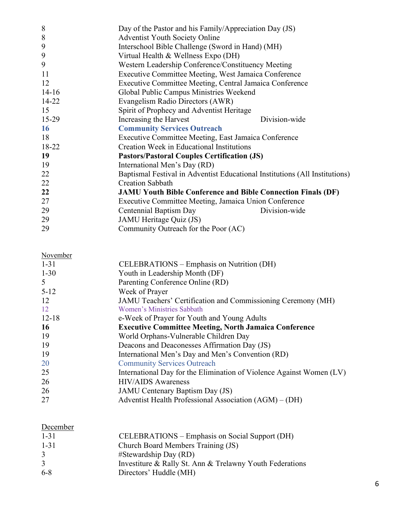| 8         | Day of the Pastor and his Family/Appreciation Day (JS)                      |               |
|-----------|-----------------------------------------------------------------------------|---------------|
| 8         | <b>Adventist Youth Society Online</b>                                       |               |
| 9         | Interschool Bible Challenge (Sword in Hand) (MH)                            |               |
| 9         | Virtual Health & Wellness Expo (DH)                                         |               |
| 9         | Western Leadership Conference/Constituency Meeting                          |               |
| 11        | Executive Committee Meeting, West Jamaica Conference                        |               |
| 12        | Executive Committee Meeting, Central Jamaica Conference                     |               |
| $14 - 16$ | Global Public Campus Ministries Weekend                                     |               |
| 14-22     | Evangelism Radio Directors (AWR)                                            |               |
| 15        | Spirit of Prophecy and Adventist Heritage                                   |               |
| 15-29     | Increasing the Harvest                                                      | Division-wide |
| <b>16</b> | <b>Community Services Outreach</b>                                          |               |
| 18        | Executive Committee Meeting, East Jamaica Conference                        |               |
| 18-22     | Creation Week in Educational Institutions                                   |               |
| 19        | <b>Pastors/Pastoral Couples Certification (JS)</b>                          |               |
| 19        | International Men's Day (RD)                                                |               |
| 22        | Baptismal Festival in Adventist Educational Institutions (All Institutions) |               |
| 22        | <b>Creation Sabbath</b>                                                     |               |
| 22        | <b>JAMU Youth Bible Conference and Bible Connection Finals (DF)</b>         |               |
| 27        | Executive Committee Meeting, Jamaica Union Conference                       |               |
| 29        | Centennial Baptism Day                                                      | Division-wide |
| 29        | JAMU Heritage Quiz (JS)                                                     |               |
| 29        | Community Outreach for the Poor (AC)                                        |               |

November

| $1 - 31$  | <b>CELEBRATIONS</b> – Emphasis on Nutrition (DH)                     |
|-----------|----------------------------------------------------------------------|
| $1 - 30$  | Youth in Leadership Month (DF)                                       |
| 5         | Parenting Conference Online (RD)                                     |
| $5 - 12$  | Week of Prayer                                                       |
| 12        | JAMU Teachers' Certification and Commissioning Ceremony (MH)         |
| 12        | Women's Ministries Sabbath                                           |
| $12 - 18$ | e-Week of Prayer for Youth and Young Adults                          |
| <b>16</b> | <b>Executive Committee Meeting, North Jamaica Conference</b>         |
| 19        | World Orphans-Vulnerable Children Day                                |
| 19        | Deacons and Deaconesses Affirmation Day (JS)                         |
| 19        | International Men's Day and Men's Convention (RD)                    |
| <b>20</b> | <b>Community Services Outreach</b>                                   |
| 25        | International Day for the Elimination of Violence Against Women (LV) |
| 26        | <b>HIV/AIDS</b> Awareness                                            |
| 26        | JAMU Centenary Baptism Day (JS)                                      |
| 27        | Adventist Health Professional Association (AGM) – (DH)               |
|           |                                                                      |

## **December**

| $1 - 31$ | <b>CELEBRATIONS</b> – Emphasis on Social Support (DH)    |
|----------|----------------------------------------------------------|
| $1 - 31$ | Church Board Members Training (JS)                       |
| 3        | $#Stewardship$ Day $(RD)$                                |
| 3        | Investiture & Rally St. Ann & Trelawny Youth Federations |
| $6-8$    | Directors' Huddle (MH)                                   |